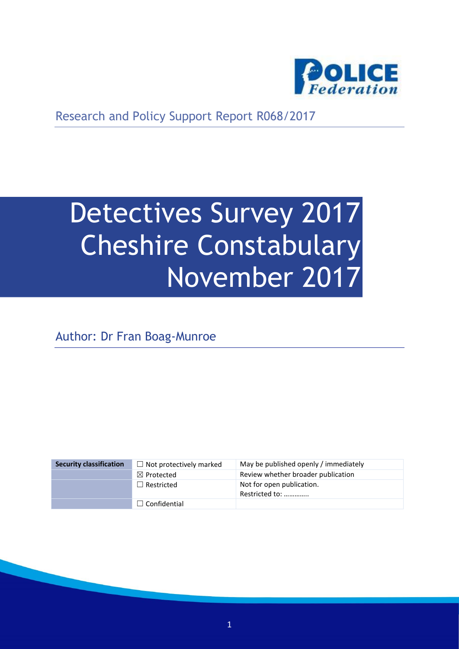

Research and Policy Support Report R068/2017

# Detectives Survey 2017 Cheshire Constabulary November 2017

Author: Dr Fran Boag-Munroe

| <b>Security classification</b> | $\Box$ Not protectively marked | May be published openly / immediately       |
|--------------------------------|--------------------------------|---------------------------------------------|
|                                | $\boxtimes$ Protected          | Review whether broader publication          |
|                                | $\Box$ Restricted              | Not for open publication.<br>Restricted to: |
|                                | $\Box$ Confidential            |                                             |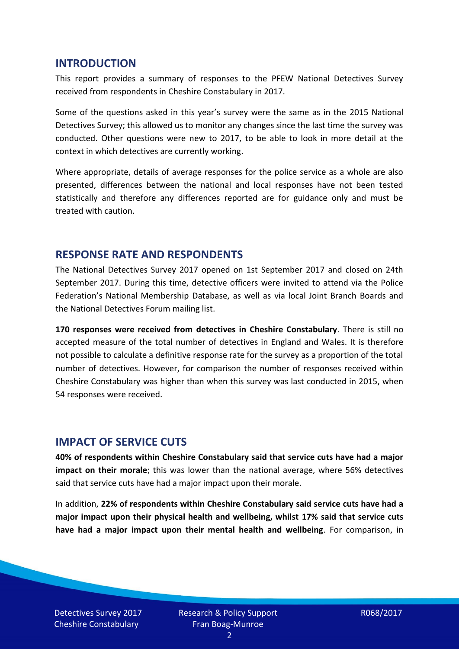#### **INTRODUCTION**

This report provides a summary of responses to the PFEW National Detectives Survey received from respondents in Cheshire Constabulary in 2017.

Some of the questions asked in this year's survey were the same as in the 2015 National Detectives Survey; this allowed us to monitor any changes since the last time the survey was conducted. Other questions were new to 2017, to be able to look in more detail at the context in which detectives are currently working.

Where appropriate, details of average responses for the police service as a whole are also presented, differences between the national and local responses have not been tested statistically and therefore any differences reported are for guidance only and must be treated with caution.

#### **RESPONSE RATE AND RESPONDENTS**

The National Detectives Survey 2017 opened on 1st September 2017 and closed on 24th September 2017. During this time, detective officers were invited to attend via the Police Federation's National Membership Database, as well as via local Joint Branch Boards and the National Detectives Forum mailing list.

**170 responses were received from detectives in Cheshire Constabulary**. There is still no accepted measure of the total number of detectives in England and Wales. It is therefore not possible to calculate a definitive response rate for the survey as a proportion of the total number of detectives. However, for comparison the number of responses received within Cheshire Constabulary was higher than when this survey was last conducted in 2015, when 54 responses were received.

#### **IMPACT OF SERVICE CUTS**

**40% of respondents within Cheshire Constabulary said that service cuts have had a major impact on their morale**; this was lower than the national average, where 56% detectives said that service cuts have had a major impact upon their morale.

In addition, **22% of respondents within Cheshire Constabulary said service cuts have had a major impact upon their physical health and wellbeing, whilst 17% said that service cuts have had a major impact upon their mental health and wellbeing**. For comparison, in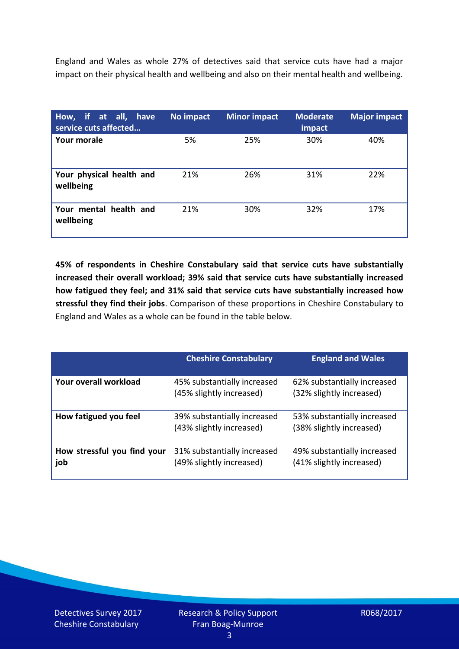England and Wales as whole 27% of detectives said that service cuts have had a major impact on their physical health and wellbeing and also on their mental health and wellbeing.

| How, if at all, have<br>service cuts affected | No impact | <b>Minor impact</b> | <b>Moderate</b><br>impact | <b>Major impact</b> |
|-----------------------------------------------|-----------|---------------------|---------------------------|---------------------|
| Your morale                                   | 5%        | 25%                 | 30%                       | 40%                 |
| Your physical health and<br>wellbeing         | 21%       | 26%                 | 31%                       | 22%                 |
| Your mental health and<br>wellbeing           | 21%       | 30%                 | 32%                       | 17%                 |

**45% of respondents in Cheshire Constabulary said that service cuts have substantially increased their overall workload; 39% said that service cuts have substantially increased how fatigued they feel; and 31% said that service cuts have substantially increased how stressful they find their jobs**. Comparison of these proportions in Cheshire Constabulary to England and Wales as a whole can be found in the table below.

|                                    | <b>Cheshire Constabulary</b>                            | <b>England and Wales</b>                                |
|------------------------------------|---------------------------------------------------------|---------------------------------------------------------|
| Your overall workload              | 45% substantially increased<br>(45% slightly increased) | 62% substantially increased<br>(32% slightly increased) |
| How fatigued you feel              | 39% substantially increased<br>(43% slightly increased) | 53% substantially increased<br>(38% slightly increased) |
| How stressful you find your<br>job | 31% substantially increased<br>(49% slightly increased) | 49% substantially increased<br>(41% slightly increased) |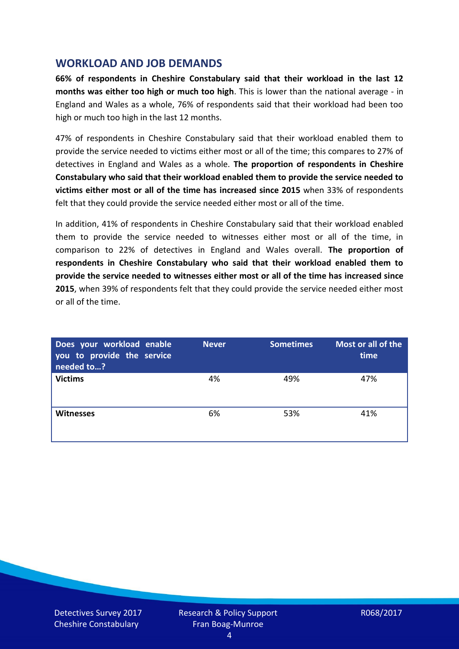## **WORKLOAD AND JOB DEMANDS**

**66% of respondents in Cheshire Constabulary said that their workload in the last 12 months was either too high or much too high**. This is lower than the national average - in England and Wales as a whole, 76% of respondents said that their workload had been too high or much too high in the last 12 months.

47% of respondents in Cheshire Constabulary said that their workload enabled them to provide the service needed to victims either most or all of the time; this compares to 27% of detectives in England and Wales as a whole. **The proportion of respondents in Cheshire Constabulary who said that their workload enabled them to provide the service needed to victims either most or all of the time has increased since 2015** when 33% of respondents felt that they could provide the service needed either most or all of the time.

In addition, 41% of respondents in Cheshire Constabulary said that their workload enabled them to provide the service needed to witnesses either most or all of the time, in comparison to 22% of detectives in England and Wales overall. **The proportion of respondents in Cheshire Constabulary who said that their workload enabled them to provide the service needed to witnesses either most or all of the time has increased since 2015**, when 39% of respondents felt that they could provide the service needed either most or all of the time.

| Does your workload enable<br>you to provide the service<br>needed to? | <b>Never</b> | <b>Sometimes</b> | Most or all of the<br>time |
|-----------------------------------------------------------------------|--------------|------------------|----------------------------|
| <b>Victims</b>                                                        | 4%           | 49%              | 47%                        |
| <b>Witnesses</b>                                                      | 6%           | 53%              | 41%                        |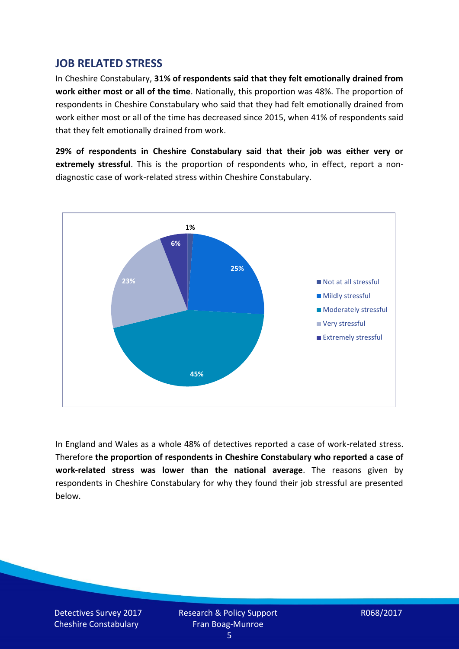## **JOB RELATED STRESS**

In Cheshire Constabulary, **31% of respondents said that they felt emotionally drained from work either most or all of the time**. Nationally, this proportion was 48%. The proportion of respondents in Cheshire Constabulary who said that they had felt emotionally drained from work either most or all of the time has decreased since 2015, when 41% of respondents said that they felt emotionally drained from work.

**29% of respondents in Cheshire Constabulary said that their job was either very or extremely stressful**. This is the proportion of respondents who, in effect, report a nondiagnostic case of work-related stress within Cheshire Constabulary.



In England and Wales as a whole 48% of detectives reported a case of work-related stress. Therefore **the proportion of respondents in Cheshire Constabulary who reported a case of work-related stress was lower than the national average**. The reasons given by respondents in Cheshire Constabulary for why they found their job stressful are presented below.

Detectives Survey 2017 Cheshire Constabulary

Research & Policy Support Fran Boag-Munroe

R068/2017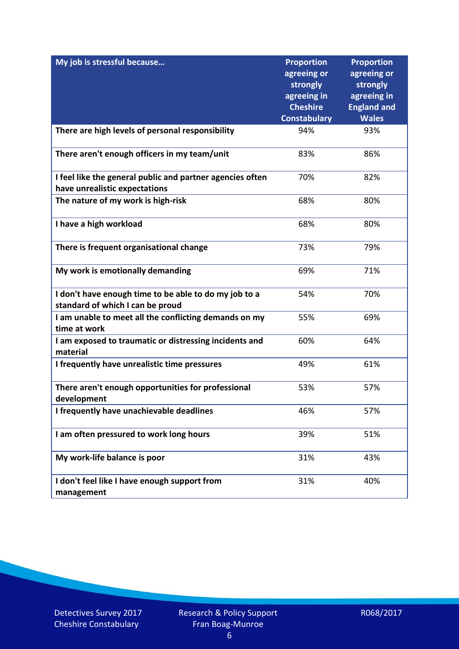| My job is stressful because                                                                | <b>Proportion</b><br>agreeing or | <b>Proportion</b><br>agreeing or |
|--------------------------------------------------------------------------------------------|----------------------------------|----------------------------------|
|                                                                                            | strongly                         | strongly                         |
|                                                                                            | agreeing in                      | agreeing in                      |
|                                                                                            | <b>Cheshire</b>                  | <b>England and</b>               |
|                                                                                            | <b>Constabulary</b>              | <b>Wales</b>                     |
| There are high levels of personal responsibility                                           | 94%                              | 93%                              |
| There aren't enough officers in my team/unit                                               | 83%                              | 86%                              |
| I feel like the general public and partner agencies often<br>have unrealistic expectations | 70%                              | 82%                              |
| The nature of my work is high-risk                                                         | 68%                              | 80%                              |
|                                                                                            |                                  |                                  |
| I have a high workload                                                                     | 68%                              | 80%                              |
| There is frequent organisational change                                                    | 73%                              | 79%                              |
| My work is emotionally demanding                                                           | 69%                              | 71%                              |
| I don't have enough time to be able to do my job to a                                      | 54%                              | 70%                              |
| standard of which I can be proud                                                           |                                  |                                  |
| I am unable to meet all the conflicting demands on my<br>time at work                      | 55%                              | 69%                              |
| I am exposed to traumatic or distressing incidents and<br>material                         | 60%                              | 64%                              |
| I frequently have unrealistic time pressures                                               | 49%                              | 61%                              |
| There aren't enough opportunities for professional<br>development                          | 53%                              | 57%                              |
| I frequently have unachievable deadlines                                                   | 46%                              | 57%                              |
| I am often pressured to work long hours                                                    | 39%                              | 51%                              |
| My work-life balance is poor                                                               | 31%                              | 43%                              |
| I don't feel like I have enough support from<br>management                                 | 31%                              | 40%                              |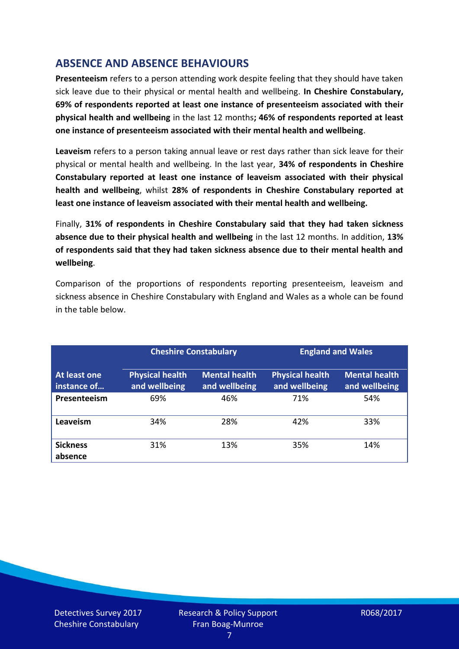# **ABSENCE AND ABSENCE BEHAVIOURS**

**Presenteeism** refers to a person attending work despite feeling that they should have taken sick leave due to their physical or mental health and wellbeing. **In Cheshire Constabulary, 69% of respondents reported at least one instance of presenteeism associated with their physical health and wellbeing** in the last 12 months**; 46% of respondents reported at least one instance of presenteeism associated with their mental health and wellbeing**.

**Leaveism** refers to a person taking annual leave or rest days rather than sick leave for their physical or mental health and wellbeing. In the last year, **34% of respondents in Cheshire Constabulary reported at least one instance of leaveism associated with their physical health and wellbeing**, whilst **28% of respondents in Cheshire Constabulary reported at least one instance of leaveism associated with their mental health and wellbeing.**

Finally, **31% of respondents in Cheshire Constabulary said that they had taken sickness absence due to their physical health and wellbeing** in the last 12 months. In addition, **13% of respondents said that they had taken sickness absence due to their mental health and wellbeing**.

Comparison of the proportions of respondents reporting presenteeism, leaveism and sickness absence in Cheshire Constabulary with England and Wales as a whole can be found in the table below.

|                             |                                         | <b>Cheshire Constabulary</b>          |                                         | <b>England and Wales</b>              |
|-----------------------------|-----------------------------------------|---------------------------------------|-----------------------------------------|---------------------------------------|
| At least one<br>instance of | <b>Physical health</b><br>and wellbeing | <b>Mental health</b><br>and wellbeing | <b>Physical health</b><br>and wellbeing | <b>Mental health</b><br>and wellbeing |
| Presenteeism                | 69%                                     | 46%                                   | 71%                                     | 54%                                   |
| Leaveism                    | 34%                                     | 28%                                   | 42%                                     | 33%                                   |
| <b>Sickness</b><br>absence  | 31%                                     | 13%                                   | 35%                                     | 14%                                   |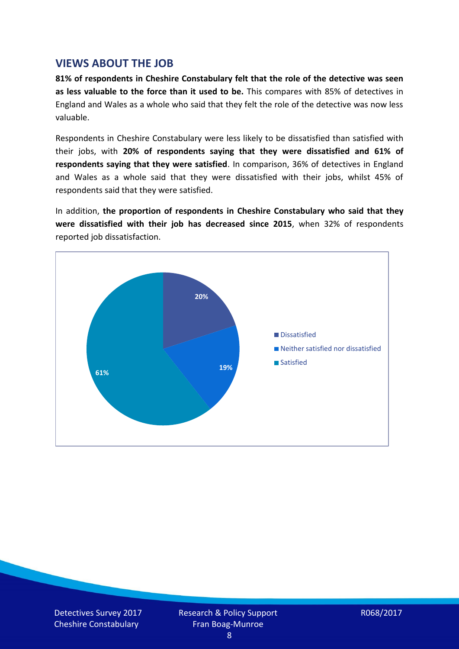## **VIEWS ABOUT THE JOB**

**81% of respondents in Cheshire Constabulary felt that the role of the detective was seen as less valuable to the force than it used to be.** This compares with 85% of detectives in England and Wales as a whole who said that they felt the role of the detective was now less valuable.

Respondents in Cheshire Constabulary were less likely to be dissatisfied than satisfied with their jobs, with **20% of respondents saying that they were dissatisfied and 61% of respondents saying that they were satisfied**. In comparison, 36% of detectives in England and Wales as a whole said that they were dissatisfied with their jobs, whilst 45% of respondents said that they were satisfied.

In addition, **the proportion of respondents in Cheshire Constabulary who said that they were dissatisfied with their job has decreased since 2015**, when 32% of respondents reported job dissatisfaction.

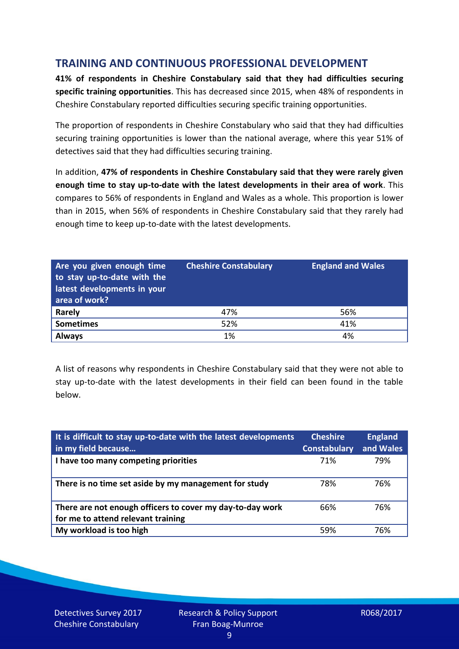# **TRAINING AND CONTINUOUS PROFESSIONAL DEVELOPMENT**

**41% of respondents in Cheshire Constabulary said that they had difficulties securing specific training opportunities**. This has decreased since 2015, when 48% of respondents in Cheshire Constabulary reported difficulties securing specific training opportunities.

The proportion of respondents in Cheshire Constabulary who said that they had difficulties securing training opportunities is lower than the national average, where this year 51% of detectives said that they had difficulties securing training.

In addition, **47% of respondents in Cheshire Constabulary said that they were rarely given enough time to stay up-to-date with the latest developments in their area of work**. This compares to 56% of respondents in England and Wales as a whole. This proportion is lower than in 2015, when 56% of respondents in Cheshire Constabulary said that they rarely had enough time to keep up-to-date with the latest developments.

| Are you given enough time<br>to stay up-to-date with the<br>latest developments in your<br>area of work? | <b>Cheshire Constabulary</b> | <b>England and Wales</b> |
|----------------------------------------------------------------------------------------------------------|------------------------------|--------------------------|
| Rarely                                                                                                   | 47%                          | 56%                      |
| <b>Sometimes</b>                                                                                         | 52%                          | 41%                      |
| <b>Always</b>                                                                                            | 1%                           | 4%                       |

A list of reasons why respondents in Cheshire Constabulary said that they were not able to stay up-to-date with the latest developments in their field can been found in the table below.

| It is difficult to stay up-to-date with the latest developments<br>in my field because          | <b>Cheshire</b><br><b>Constabulary</b> | <b>England</b><br>and Wales |
|-------------------------------------------------------------------------------------------------|----------------------------------------|-----------------------------|
| I have too many competing priorities                                                            | 71%                                    | 79%                         |
| There is no time set aside by my management for study                                           | 78%                                    | 76%                         |
| There are not enough officers to cover my day-to-day work<br>for me to attend relevant training | 66%                                    | 76%                         |
| My workload is too high                                                                         | .59%                                   | 76%                         |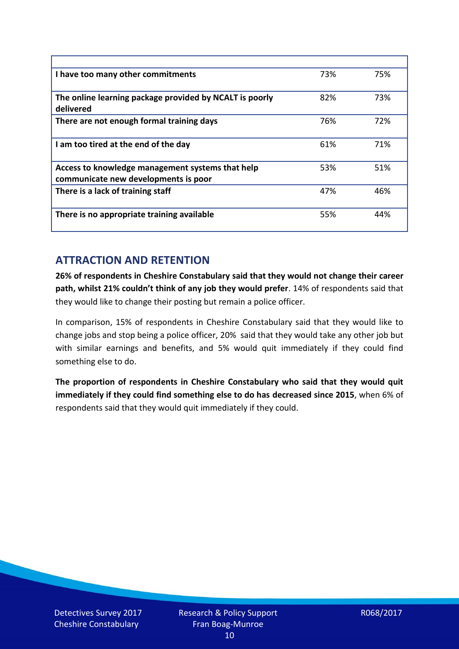| I have too many other commitments                                                        | 73% | 75% |
|------------------------------------------------------------------------------------------|-----|-----|
| The online learning package provided by NCALT is poorly<br>delivered                     | 82% | 73% |
| There are not enough formal training days                                                | 76% | 72% |
| I am too tired at the end of the day                                                     | 61% | 71% |
| Access to knowledge management systems that help<br>communicate new developments is poor | 53% | 51% |
| There is a lack of training staff                                                        | 47% | 46% |
| There is no appropriate training available                                               | 55% | 44% |

# **ATTRACTION AND RETENTION**

**26% of respondents in Cheshire Constabulary said that they would not change their career path, whilst 21% couldn't think of any job they would prefer**. 14% of respondents said that they would like to change their posting but remain a police officer.

In comparison, 15% of respondents in Cheshire Constabulary said that they would like to change jobs and stop being a police officer, 20% said that they would take any other job but with similar earnings and benefits, and 5% would quit immediately if they could find something else to do.

**The proportion of respondents in Cheshire Constabulary who said that they would quit immediately if they could find something else to do has decreased since 2015**, when 6% of respondents said that they would quit immediately if they could.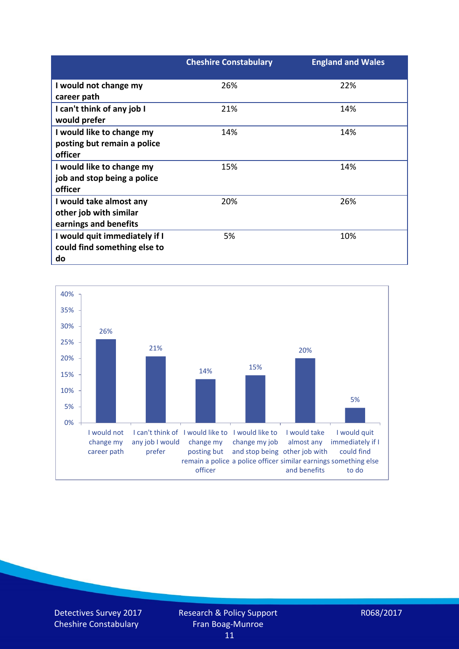|                               | <b>Cheshire Constabulary</b> | <b>England and Wales</b> |
|-------------------------------|------------------------------|--------------------------|
| I would not change my         | 26%                          | 22%                      |
| career path                   |                              |                          |
| I can't think of any job I    | 21%                          | 14%                      |
| would prefer                  |                              |                          |
| I would like to change my     | 14%                          | 14%                      |
| posting but remain a police   |                              |                          |
| officer                       |                              |                          |
| I would like to change my     | 15%                          | 14%                      |
| job and stop being a police   |                              |                          |
| officer                       |                              |                          |
| I would take almost any       | 20%                          | 26%                      |
| other job with similar        |                              |                          |
| earnings and benefits         |                              |                          |
| I would quit immediately if I | 5%                           | 10%                      |
| could find something else to  |                              |                          |
| do                            |                              |                          |